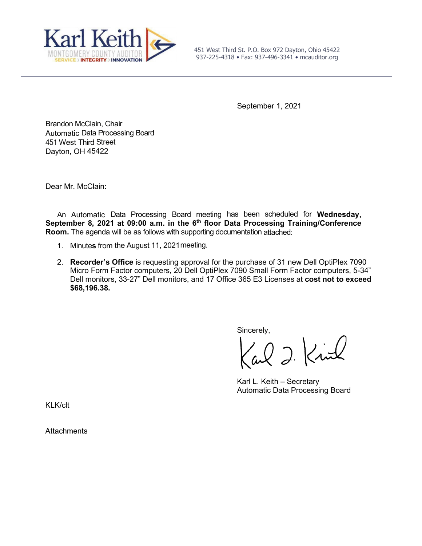

451 West Third St. P.O. Box 972 Dayton, Ohio 45422 937-225-4318 • Fax: 937-496-3341 • mcauditor.org

September 1, 2021

Brandon McClain, Chair Automatic Data Processing Board 451 West Third Street Dayton, OH 45422

Dear Mr. McClain:

An Automatic Data Processing Board meeting has been scheduled for **Wednesday,**  September 8, 2021 at 09:00 a.m. in the 6<sup>th</sup> floor Data Processing Training/Conference **Room.** The agenda will be as follows with supporting documentation attached:

- 1. Minute**s** from the August 11, 2021meeting.
- 2. **Recorder's Office** is requesting approval for the purchase of 31 new Dell OptiPlex 7090 Micro Form Factor computers, 20 Dell OptiPlex 7090 Small Form Factor computers, 5-34" Dell monitors, 33-27" Dell monitors, and 17 Office 365 E3 Licenses at **cost not to exceed \$68,196.38.**

Sincerely,

al 2 Kirl

Karl L. Keith – Secretary Automatic Data Processing Board

KLK/clt

**Attachments**